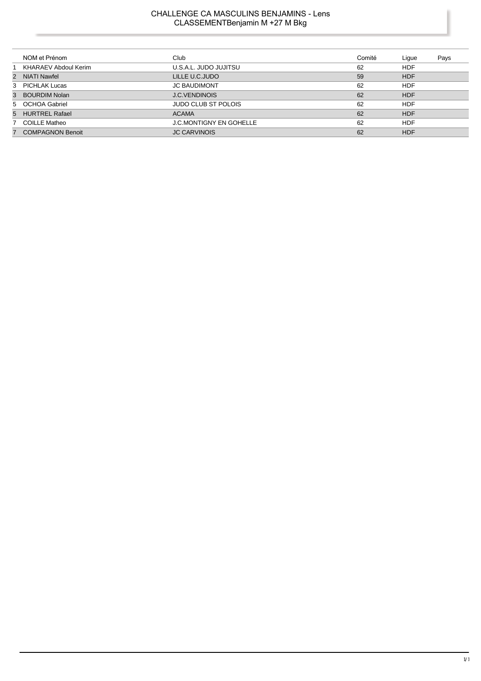# CHALLENGE CA MASCULINS BENJAMINS - Lens CLASSEMENTBenjamin M +27 M Bkg

|   | NOM et Prénom           | Club                           | Comité | Lique      | Pays |
|---|-------------------------|--------------------------------|--------|------------|------|
|   | KHARAEV Abdoul Kerim    | U.S.A.L. JUDO JUJITSU          | 62     | <b>HDF</b> |      |
|   | 2 NIATI Nawfel          | LILLE U.C.JUDO                 | 59     | <b>HDF</b> |      |
|   | 3 PICHLAK Lucas         | <b>JC BAUDIMONT</b>            | 62     | <b>HDF</b> |      |
| 3 | BOURDIM Nolan           | <b>J.C.VENDINOIS</b>           | 62     | <b>HDF</b> |      |
|   | 5 OCHOA Gabriel         | <b>JUDO CLUB ST POLOIS</b>     | 62     | <b>HDF</b> |      |
|   | 5 HURTREL Rafael        | <b>ACAMA</b>                   | 62     | <b>HDF</b> |      |
|   | 7 COILLE Matheo         | <b>J.C.MONTIGNY EN GOHELLE</b> | 62     | <b>HDF</b> |      |
| 7 | <b>COMPAGNON Benoit</b> | <b>JC CARVINOIS</b>            | 62     | <b>HDF</b> |      |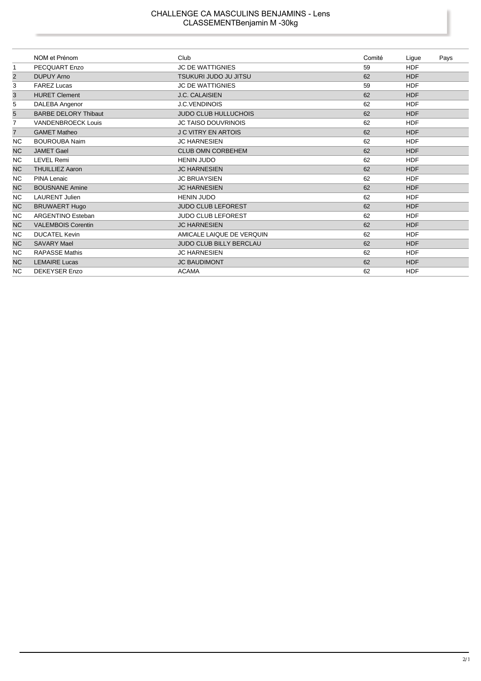#### CHALLENGE CA MASCULINS BENJAMINS - Lens CLASSEMENTBenjamin M -30kg

|                | NOM et Prénom               | Club                           | Comité | Ligue      | Pays |
|----------------|-----------------------------|--------------------------------|--------|------------|------|
| $\mathbf{1}$   | <b>PECQUART Enzo</b>        | <b>JC DE WATTIGNIES</b>        | 59     | <b>HDF</b> |      |
| $\overline{2}$ | <b>DUPUY Arno</b>           | <b>TSUKURI JUDO JU JITSU</b>   | 62     | <b>HDF</b> |      |
| 3              | <b>FAREZ Lucas</b>          | <b>JC DE WATTIGNIES</b>        | 59     | <b>HDF</b> |      |
| 3              | <b>HURET Clement</b>        | J.C. CALAISIEN                 | 62     | <b>HDF</b> |      |
| 5              | DALEBA Angenor              | <b>J.C.VENDINOIS</b>           | 62     | <b>HDF</b> |      |
| 5              | <b>BARBE DELORY Thibaut</b> | <b>JUDO CLUB HULLUCHOIS</b>    | 62     | <b>HDF</b> |      |
| 7              | <b>VANDENBROECK Louis</b>   | <b>JC TAISO DOUVRINOIS</b>     | 62     | <b>HDF</b> |      |
| $\overline{7}$ | <b>GAMET Matheo</b>         | <b>J C VITRY EN ARTOIS</b>     | 62     | <b>HDF</b> |      |
| <b>NC</b>      | <b>BOUROUBA Naim</b>        | <b>JC HARNESIEN</b>            | 62     | <b>HDF</b> |      |
| <b>NC</b>      | <b>JAMET Gael</b>           | <b>CLUB OMN CORBEHEM</b>       | 62     | <b>HDF</b> |      |
| <b>NC</b>      | <b>LEVEL Remi</b>           | <b>HENIN JUDO</b>              | 62     | <b>HDF</b> |      |
| <b>NC</b>      | <b>THUILLIEZ Aaron</b>      | <b>JC HARNESIEN</b>            | 62     | <b>HDF</b> |      |
| NC.            | PINA Lenaic                 | <b>JC BRUAYSIEN</b>            | 62     | <b>HDF</b> |      |
| <b>NC</b>      | <b>BOUSNANE Amine</b>       | <b>JC HARNESIEN</b>            | 62     | <b>HDF</b> |      |
| NC.            | <b>LAURENT Julien</b>       | <b>HENIN JUDO</b>              | 62     | <b>HDF</b> |      |
| <b>NC</b>      | <b>BRUWAERT Hugo</b>        | <b>JUDO CLUB LEFOREST</b>      | 62     | <b>HDF</b> |      |
| NC.            | <b>ARGENTINO Esteban</b>    | JUDO CLUB LEFOREST             | 62     | <b>HDF</b> |      |
| <b>NC</b>      | <b>VALEMBOIS Corentin</b>   | <b>JC HARNESIEN</b>            | 62     | <b>HDF</b> |      |
| <b>NC</b>      | <b>DUCATEL Kevin</b>        | AMICALE LAIQUE DE VERQUIN      | 62     | <b>HDF</b> |      |
| <b>NC</b>      | <b>SAVARY Mael</b>          | <b>JUDO CLUB BILLY BERCLAU</b> | 62     | <b>HDF</b> |      |
| <b>NC</b>      | <b>RAPASSE Mathis</b>       | <b>JC HARNESIEN</b>            | 62     | <b>HDF</b> |      |
| <b>NC</b>      | <b>LEMAIRE Lucas</b>        | <b>JC BAUDIMONT</b>            | 62     | <b>HDF</b> |      |
| <b>NC</b>      | <b>DEKEYSER Enzo</b>        | <b>ACAMA</b>                   | 62     | <b>HDF</b> |      |

ı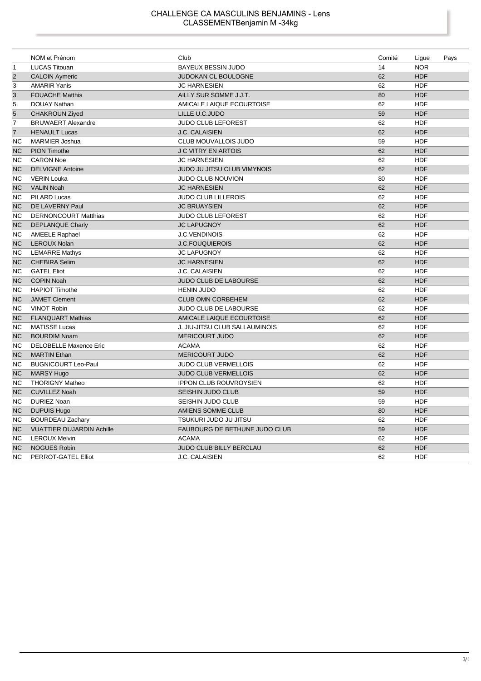#### CHALLENGE CA MASCULINS BENJAMINS - Lens CLASSEMENTBenjamin M -34kg

|                | NOM et Prénom                    | Club                           | Comité | Ligue      | Pays |
|----------------|----------------------------------|--------------------------------|--------|------------|------|
| $\mathbf{1}$   | <b>LUCAS Titouan</b>             | <b>BAYEUX BESSIN JUDO</b>      | 14     | <b>NOR</b> |      |
| $\overline{2}$ | <b>CALOIN Aymeric</b>            | <b>JUDOKAN CL BOULOGNE</b>     | 62     | <b>HDF</b> |      |
| 3              | <b>AMARIR Yanis</b>              | <b>JC HARNESIEN</b>            | 62     | <b>HDF</b> |      |
| 3              | <b>FOUACHE Matthis</b>           | AILLY SUR SOMME J.J.T.         | 80     | <b>HDF</b> |      |
| 5              | <b>DOUAY Nathan</b>              | AMICALE LAIQUE ECOURTOISE      | 62     | <b>HDF</b> |      |
| 5              | <b>CHAKROUN Ziyed</b>            | LILLE U.C.JUDO                 | 59     | <b>HDF</b> |      |
| 7              | <b>BRUWAERT Alexandre</b>        | JUDO CLUB LEFOREST             | 62     | <b>HDF</b> |      |
| $\overline{7}$ | <b>HENAULT Lucas</b>             | J.C. CALAISIEN                 | 62     | <b>HDF</b> |      |
| <b>NC</b>      | <b>MARMIER Joshua</b>            | CLUB MOUVALLOIS JUDO           | 59     | <b>HDF</b> |      |
| <b>NC</b>      | <b>PION Timothe</b>              | <b>J C VITRY EN ARTOIS</b>     | 62     | <b>HDF</b> |      |
| <b>NC</b>      | <b>CARON Noe</b>                 | <b>JC HARNESIEN</b>            | 62     | <b>HDF</b> |      |
| <b>NC</b>      | <b>DELVIGNE Antoine</b>          | JUDO JU JITSU CLUB VIMYNOIS    | 62     | <b>HDF</b> |      |
| NC             | <b>VERIN Louka</b>               | JUDO CLUB NOUVION              | 80     | <b>HDF</b> |      |
| <b>NC</b>      | <b>VALIN Noah</b>                | <b>JC HARNESIEN</b>            | 62     | <b>HDF</b> |      |
| <b>NC</b>      | <b>PILARD Lucas</b>              | <b>JUDO CLUB LILLEROIS</b>     | 62     | <b>HDF</b> |      |
| <b>NC</b>      | DE LAVERNY Paul                  | <b>JC BRUAYSIEN</b>            | 62     | <b>HDF</b> |      |
| ΝC             | <b>DERNONCOURT Matthias</b>      | JUDO CLUB LEFOREST             | 62     | <b>HDF</b> |      |
| <b>NC</b>      | <b>DEPLANQUE Charly</b>          | <b>JC LAPUGNOY</b>             | 62     | <b>HDF</b> |      |
| <b>NC</b>      | <b>AMEELE Raphael</b>            | <b>J.C.VENDINOIS</b>           | 62     | <b>HDF</b> |      |
| <b>NC</b>      | <b>LEROUX Nolan</b>              | <b>J.C.FOUQUIEROIS</b>         | 62     | <b>HDF</b> |      |
| <b>NC</b>      | <b>LEMARRE Mathys</b>            | <b>JC LAPUGNOY</b>             | 62     | <b>HDF</b> |      |
| <b>NC</b>      | <b>CHEBIRA Selim</b>             | <b>JC HARNESIEN</b>            | 62     | <b>HDF</b> |      |
| <b>NC</b>      | <b>GATEL Eliot</b>               | J.C. CALAISIEN                 | 62     | <b>HDF</b> |      |
| <b>NC</b>      | <b>COPIN Noah</b>                | JUDO CLUB DE LABOURSE          | 62     | <b>HDF</b> |      |
| <b>NC</b>      | <b>HAPIOT Timothe</b>            | <b>HENIN JUDO</b>              | 62     | <b>HDF</b> |      |
| <b>NC</b>      | <b>JAMET Clement</b>             | <b>CLUB OMN CORBEHEM</b>       | 62     | <b>HDF</b> |      |
| <b>NC</b>      | <b>VINOT Robin</b>               | <b>JUDO CLUB DE LABOURSE</b>   | 62     | <b>HDF</b> |      |
| <b>NC</b>      | <b>FLANQUART Mathias</b>         | AMICALE LAIQUE ECOURTOISE      | 62     | <b>HDF</b> |      |
| <b>NC</b>      | <b>MATISSE Lucas</b>             | J. JIU-JITSU CLUB SALLAUMINOIS | 62     | <b>HDF</b> |      |
| <b>NC</b>      | <b>BOURDIM Noam</b>              | <b>MERICOURT JUDO</b>          | 62     | <b>HDF</b> |      |
| NC.            | <b>DELOBELLE Maxence Eric</b>    | <b>ACAMA</b>                   | 62     | <b>HDF</b> |      |
| <b>NC</b>      | <b>MARTIN Ethan</b>              | <b>MERICOURT JUDO</b>          | 62     | <b>HDF</b> |      |
| <b>NC</b>      | <b>BUGNICOURT Leo-Paul</b>       | JUDO CLUB VERMELLOIS           | 62     | <b>HDF</b> |      |
| <b>NC</b>      | <b>MARSY Hugo</b>                | <b>JUDO CLUB VERMELLOIS</b>    | 62     | <b>HDF</b> |      |
| NC             | <b>THORIGNY Matheo</b>           | <b>IPPON CLUB ROUVROYSIEN</b>  | 62     | <b>HDF</b> |      |
| <b>NC</b>      | <b>CUVILLEZ Noah</b>             | SEISHIN JUDO CLUB              | 59     | <b>HDF</b> |      |
| <b>NC</b>      | <b>DURIEZ Noan</b>               | SEISHIN JUDO CLUB              | 59     | <b>HDF</b> |      |
| <b>NC</b>      | <b>DUPUIS Hugo</b>               | AMIENS SOMME CLUB              | 80     | <b>HDF</b> |      |
| NC             | <b>BOURDEAU Zachary</b>          | TSUKURI JUDO JU JITSU          | 62     | <b>HDF</b> |      |
| <b>NC</b>      | <b>VUATTIER DUJARDIN Achille</b> | FAUBOURG DE BETHUNE JUDO CLUB  | 59     | <b>HDF</b> |      |
| <b>NC</b>      | <b>LEROUX Melvin</b>             | <b>ACAMA</b>                   | 62     | <b>HDF</b> |      |
| <b>NC</b>      | <b>NOGUES Robin</b>              | JUDO CLUB BILLY BERCLAU        | 62     | <b>HDF</b> |      |
| <b>NC</b>      | PERROT-GATEL Elliot              | J.C. CALAISIEN                 | 62     | <b>HDF</b> |      |

I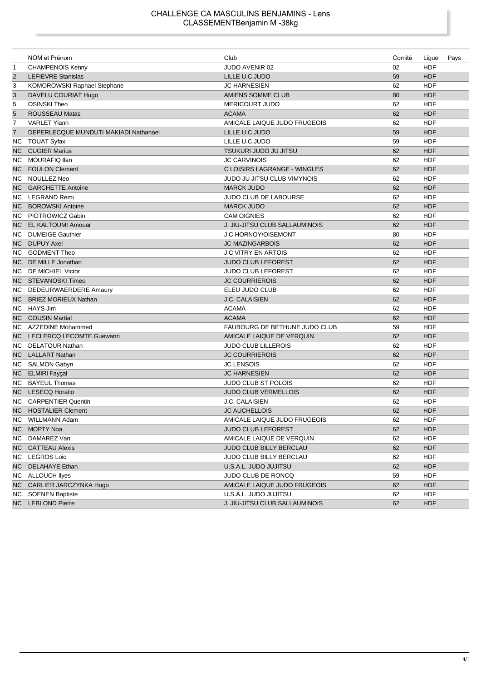|                | NOM et Prénom                         | Club                                  | Comité | Ligue      | Pays |
|----------------|---------------------------------------|---------------------------------------|--------|------------|------|
| $\mathbf{1}$   | <b>CHAMPENOIS Kenny</b>               | JUDO AVENIR 02                        | 02     | <b>HDF</b> |      |
| $\overline{2}$ | <b>LEFIEVRE Stanislas</b>             | LILLE U.C.JUDO                        | 59     | <b>HDF</b> |      |
| 3              | KOMOROWSKI Raphael Stephane           | <b>JC HARNESIEN</b>                   | 62     | <b>HDF</b> |      |
| $\mathbf{3}$   | DAVELU COURIAT Hugo                   | AMIENS SOMME CLUB                     | 80     | <b>HDF</b> |      |
| 5              | <b>OSINSKI Theo</b>                   | <b>MERICOURT JUDO</b>                 | 62     | <b>HDF</b> |      |
| $\overline{5}$ | <b>ROUSSEAU Matas</b>                 | <b>ACAMA</b>                          | 62     | <b>HDF</b> |      |
| 7              | <b>VARLET Ylann</b>                   | AMICALE LAIQUE JUDO FRUGEOIS          | 62     | <b>HDF</b> |      |
| $\overline{7}$ | DEPERLECQUE MUNDUTI MAKIADI Nathanael | LILLE U.C.JUDO                        | 59     | <b>HDF</b> |      |
|                | NC TOUAT Syfax                        | LILLE U.C.JUDO                        | 59     | <b>HDF</b> |      |
| NC.            | <b>CUGIER Marius</b>                  | <b>TSUKURI JUDO JU JITSU</b>          | 62     | <b>HDF</b> |      |
| NC.            | <b>MOURAFIQ llan</b>                  | <b>JC CARVINOIS</b>                   | 62     | <b>HDF</b> |      |
| NC.            | <b>FOULON Clement</b>                 | C LOISIRS LAGRANGE - WINGLES          | 62     | <b>HDF</b> |      |
| NC.            | NOULLEZ Neo                           | <b>JUDO JU JITSU CLUB VIMYNOIS</b>    | 62     | <b>HDF</b> |      |
| NC.            | <b>GARCHETTE Antoine</b>              | <b>MARCK JUDO</b>                     | 62     | <b>HDF</b> |      |
| NC.            | LEGRAND Remi                          | JUDO CLUB DE LABOURSE                 | 62     | <b>HDF</b> |      |
| NC.            | <b>BOROWSKI Antoine</b>               | <b>MARCK JUDO</b>                     | 62     | <b>HDF</b> |      |
|                | NC PIOTROWICZ Gabin                   | <b>CAM OIGNIES</b>                    | 62     | <b>HDF</b> |      |
| NC.            | EL KALTOUMI Amouar                    | <b>J. JIU-JITSU CLUB SALLAUMINOIS</b> | 62     | <b>HDF</b> |      |
| NC.            | <b>DUMEIGE Gauthier</b>               | J C HORNOY/OISEMONT                   | 80     | <b>HDF</b> |      |
| NC.            | <b>DUPUY Axel</b>                     | <b>JC MAZINGARBOIS</b>                | 62     | <b>HDF</b> |      |
| NC.            | <b>GODMENT Theo</b>                   | <b>J C VITRY EN ARTOIS</b>            | 62     | <b>HDF</b> |      |
| NC.            | DE MILLE Jonathan                     | <b>JUDO CLUB LEFOREST</b>             | 62     | <b>HDF</b> |      |
| NC.            | DE MICHIEL Victor                     | <b>JUDO CLUB LEFOREST</b>             | 62     | <b>HDF</b> |      |
| NC.            | STEVANOSKI Timeo                      | <b>JC COURRIEROIS</b>                 | 62     | <b>HDF</b> |      |
| NC.            | DEDEURWAERDERE Amaury                 | ELEU JUDO CLUB                        | 62     | HDF        |      |
| NC.            | <b>BRIEZ MORIEUX Nathan</b>           | J.C. CALAISIEN                        | 62     | <b>HDF</b> |      |
|                | NC HAYS Jim                           | <b>ACAMA</b>                          | 62     | <b>HDF</b> |      |
|                | <b>NC</b> COUSIN Martial              | <b>ACAMA</b>                          | 62     | <b>HDF</b> |      |
|                | NC AZZEDINE Mohammed                  | FAUBOURG DE BETHUNE JUDO CLUB         | 59     | <b>HDF</b> |      |
|                | NC LECLERCQ LECOMTE Guewann           | AMICALE LAIQUE DE VERQUIN             | 62     | <b>HDF</b> |      |
|                | NC DELATOUR Nathan                    | <b>JUDO CLUB LILLEROIS</b>            | 62     | <b>HDF</b> |      |
| NC             | <b>LALLART Nathan</b>                 | <b>JC COURRIEROIS</b>                 | 62     | <b>HDF</b> |      |
| NC.            | <b>SALMON Gabyn</b>                   | <b>JC LENSOIS</b>                     | 62     | <b>HDF</b> |      |
|                | NC ELMIRI Fayçal                      | <b>JC HARNESIEN</b>                   | 62     | <b>HDF</b> |      |
| NC.            | <b>BAYEUL Thomas</b>                  | <b>JUDO CLUB ST POLOIS</b>            | 62     | <b>HDF</b> |      |
| NC.            | <b>LESECQ Horatio</b>                 | <b>JUDO CLUB VERMELLOIS</b>           | 62     | <b>HDF</b> |      |
| NC.            | <b>CARPENTIER Quentin</b>             | J.C. CALAISIEN                        | 62     | <b>HDF</b> |      |
|                | NC HOSTALIER Clement                  | <b>JC AUCHELLOIS</b>                  | 62     | <b>HDF</b> |      |
|                | NC WILLMANN Adam                      | AMICALE LAIQUE JUDO FRUGEOIS          | 62     | HDF        |      |
|                | NC MOPTY Noa                          | <b>JUDO CLUB LEFOREST</b>             | 62     | <b>HDF</b> |      |
|                | NC DAMAREZ Van                        | AMICALE LAIQUE DE VERQUIN             | 62     | <b>HDF</b> |      |
|                | NC CATTEAU Alexis                     | JUDO CLUB BILLY BERCLAU               | 62     | <b>HDF</b> |      |
|                | NC LEGROS Loic                        | JUDO CLUB BILLY BERCLAU               | 62     | <b>HDF</b> |      |
| NC             | <b>DELAHAYE Ethan</b>                 | U.S.A.L. JUDO JUJITSU                 | 62     | <b>HDF</b> |      |
|                | NC ALLOUCH liyes                      | JUDO CLUB DE RONCQ                    | 59     | HDF        |      |
|                | NC CARLIER JARCZYNKA Hugo             | AMICALE LAIQUE JUDO FRUGEOIS          | 62     | <b>HDF</b> |      |
|                | NC SOENEN Baptiste                    | U.S.A.L. JUDO JUJITSU                 | 62     | <b>HDF</b> |      |
|                | NC LEBLOND Pierre                     | J. JIU-JITSU CLUB SALLAUMINOIS        | 62     | <b>HDF</b> |      |

I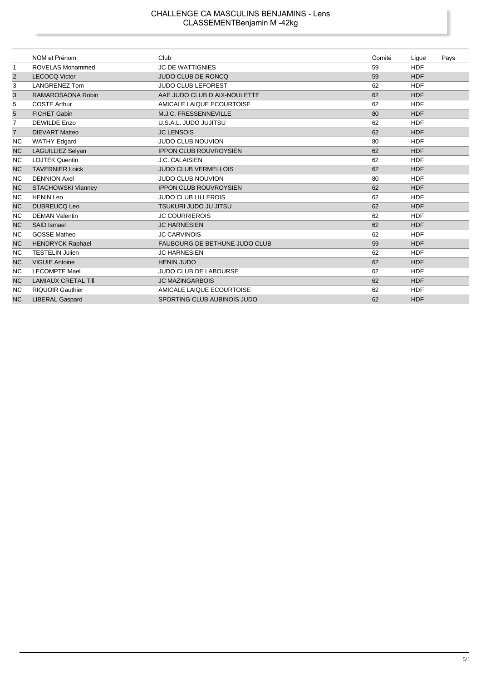|                | NOM et Prénom              | Club                                 | Comité | Ligue      | Pays |
|----------------|----------------------------|--------------------------------------|--------|------------|------|
| 1              | <b>ROVELAS Mohammed</b>    | <b>JC DE WATTIGNIES</b>              | 59     | <b>HDF</b> |      |
| $\overline{2}$ | <b>LECOCQ Victor</b>       | <b>JUDO CLUB DE RONCQ</b>            | 59     | <b>HDF</b> |      |
| 3              | <b>LANGRENEZ Tom</b>       | <b>JUDO CLUB LEFOREST</b>            | 62     | <b>HDF</b> |      |
| 3              | RAMAROSAONA Robin          | AAE JUDO CLUB D AIX-NOULETTE         | 62     | <b>HDF</b> |      |
| 5              | <b>COSTE Arthur</b>        | AMICALE LAIQUE ECOURTOISE            | 62     | <b>HDF</b> |      |
| 5              | <b>FICHET Gabin</b>        | M.J.C. FRESSENNEVILLE                | 80     | <b>HDF</b> |      |
| $\overline{7}$ | <b>DEWILDE Enzo</b>        | U.S.A.L. JUDO JUJITSU                | 62     | <b>HDF</b> |      |
| $\overline{7}$ | <b>DIEVART Matteo</b>      | <b>JC LENSOIS</b>                    | 62     | <b>HDF</b> |      |
| <b>NC</b>      | <b>WATHY Edgard</b>        | <b>JUDO CLUB NOUVION</b>             | 80     | <b>HDF</b> |      |
| <b>NC</b>      | <b>LAGUILLIEZ Selyan</b>   | <b>IPPON CLUB ROUVROYSIEN</b>        | 62     | <b>HDF</b> |      |
| NC.            | <b>LOJTEK Quentin</b>      | J.C. CALAISIEN                       | 62     | <b>HDF</b> |      |
| <b>NC</b>      | <b>TAVERNIER Loick</b>     | <b>JUDO CLUB VERMELLOIS</b>          | 62     | <b>HDF</b> |      |
| <b>NC</b>      | <b>DENNION Axel</b>        | <b>JUDO CLUB NOUVION</b>             | 80     | <b>HDF</b> |      |
| <b>NC</b>      | <b>STACHOWSKI Vianney</b>  | <b>IPPON CLUB ROUVROYSIEN</b>        | 62     | <b>HDF</b> |      |
| <b>NC</b>      | <b>HENIN Leo</b>           | <b>JUDO CLUB LILLEROIS</b>           | 62     | <b>HDF</b> |      |
| <b>NC</b>      | <b>DUBREUCQ Leo</b>        | TSUKURI JUDO JU JITSU                | 62     | <b>HDF</b> |      |
| <b>NC</b>      | <b>DEMAN Valentin</b>      | <b>JC COURRIEROIS</b>                | 62     | <b>HDF</b> |      |
| <b>NC</b>      | <b>SAID Ismael</b>         | <b>JC HARNESIEN</b>                  | 62     | <b>HDF</b> |      |
| ΝC             | <b>GOSSE Matheo</b>        | <b>JC CARVINOIS</b>                  | 62     | <b>HDF</b> |      |
| <b>NC</b>      | <b>HENDRYCK Raphael</b>    | <b>FAUBOURG DE BETHUNE JUDO CLUB</b> | 59     | <b>HDF</b> |      |
| <b>NC</b>      | <b>TESTELIN Julien</b>     | <b>JC HARNESIEN</b>                  | 62     | <b>HDF</b> |      |
| <b>NC</b>      | <b>VIGUIE Antoine</b>      | <b>HENIN JUDO</b>                    | 62     | <b>HDF</b> |      |
| ΝC             | <b>LECOMPTE Mael</b>       | <b>JUDO CLUB DE LABOURSE</b>         | 62     | <b>HDF</b> |      |
| <b>NC</b>      | <b>LAMIAUX CRETAL Till</b> | <b>JC MAZINGARBOIS</b>               | 62     | <b>HDF</b> |      |
| <b>NC</b>      | <b>RIQUOIR Gauthier</b>    | AMICALE LAIQUE ECOURTOISE            | 62     | <b>HDF</b> |      |
| <b>NC</b>      | <b>LIBERAL Gaspard</b>     | SPORTING CLUB AUBINOIS JUDO          | 62     | <b>HDF</b> |      |

I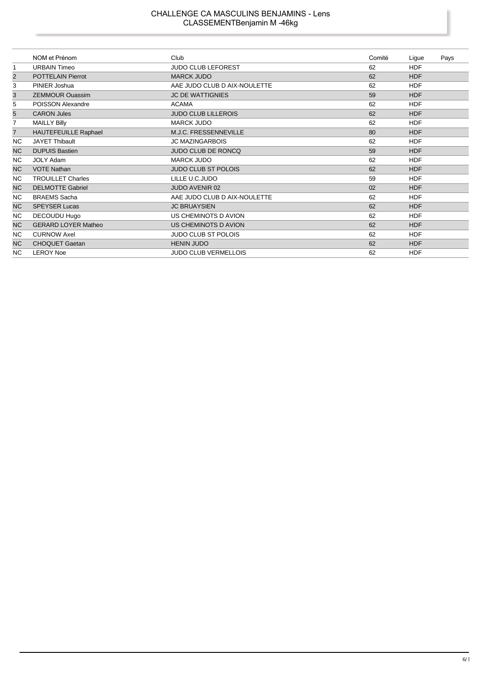#### CHALLENGE CA MASCULINS BENJAMINS - Lens CLASSEMENTBenjamin M -46kg

|                | NOM et Prénom               | Club                         | Comité | Ligue      | Pays |
|----------------|-----------------------------|------------------------------|--------|------------|------|
| 1              | <b>URBAIN Timeo</b>         | <b>JUDO CLUB LEFOREST</b>    | 62     | <b>HDF</b> |      |
| $\overline{2}$ | <b>POTTELAIN Pierrot</b>    | <b>MARCK JUDO</b>            | 62     | <b>HDF</b> |      |
| 3              | PINIER Joshua               | AAE JUDO CLUB D AIX-NOULETTE | 62     | <b>HDF</b> |      |
| 3              | <b>ZEMMOUR Ouassim</b>      | <b>JC DE WATTIGNIES</b>      | 59     | <b>HDF</b> |      |
| 5              | POISSON Alexandre           | <b>ACAMA</b>                 | 62     | <b>HDF</b> |      |
| $\overline{5}$ | <b>CARON Jules</b>          | <b>JUDO CLUB LILLEROIS</b>   | 62     | <b>HDF</b> |      |
| 7              | <b>MAILLY Billy</b>         | <b>MARCK JUDO</b>            | 62     | <b>HDF</b> |      |
| $\overline{7}$ | <b>HAUTEFEUILLE Raphael</b> | M.J.C. FRESSENNEVILLE        | 80     | <b>HDF</b> |      |
| <b>NC</b>      | <b>JAYET Thibault</b>       | <b>JC MAZINGARBOIS</b>       | 62     | <b>HDF</b> |      |
| <b>NC</b>      | <b>DUPUIS Bastien</b>       | JUDO CLUB DE RONCQ           | 59     | <b>HDF</b> |      |
| <b>NC</b>      | <b>JOLY Adam</b>            | <b>MARCK JUDO</b>            | 62     | <b>HDF</b> |      |
| N <sub>C</sub> | <b>VOTE Nathan</b>          | <b>JUDO CLUB ST POLOIS</b>   | 62     | <b>HDF</b> |      |
| NC.            | <b>TROUILLET Charles</b>    | LILLE U.C.JUDO               | 59     | <b>HDF</b> |      |
| <b>NC</b>      | <b>DELMOTTE Gabriel</b>     | <b>JUDO AVENIR 02</b>        | 02     | <b>HDF</b> |      |
| <b>NC</b>      | <b>BRAEMS</b> Sacha         | AAE JUDO CLUB D AIX-NOULETTE | 62     | <b>HDF</b> |      |
| <b>NC</b>      | <b>SPEYSER Lucas</b>        | <b>JC BRUAYSIEN</b>          | 62     | <b>HDF</b> |      |
| NC.            | DECOUDU Hugo                | US CHEMINOTS D AVION         | 62     | <b>HDF</b> |      |
| N <sub>C</sub> | <b>GERARD LOYER Matheo</b>  | US CHEMINOTS D AVION         | 62     | <b>HDF</b> |      |
| NC.            | <b>CURNOW Axel</b>          | <b>JUDO CLUB ST POLOIS</b>   | 62     | <b>HDF</b> |      |
| <b>NC</b>      | <b>CHOQUET Gaetan</b>       | <b>HENIN JUDO</b>            | 62     | <b>HDF</b> |      |
| NC.            | <b>LEROY Noe</b>            | <b>JUDO CLUB VERMELLOIS</b>  | 62     | <b>HDF</b> |      |

ı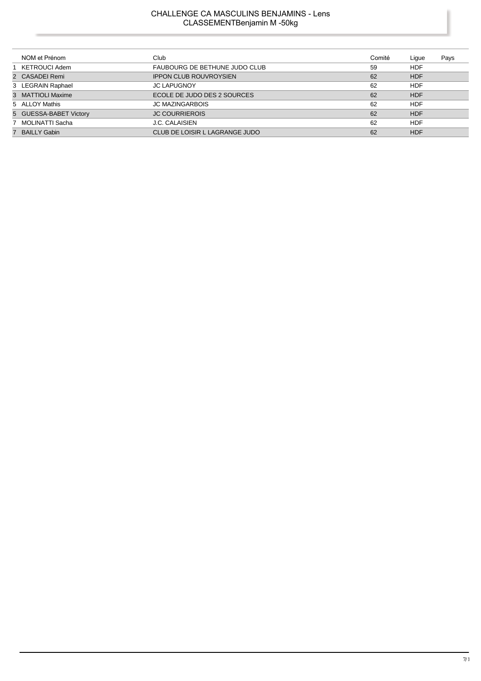# CHALLENGE CA MASCULINS BENJAMINS - Lens CLASSEMENTBenjamin M -50kg

|   | NOM et Prénom          | Club                           | Comité | Lique      | Pays |
|---|------------------------|--------------------------------|--------|------------|------|
|   | KETROUCI Adem          | FAUBOURG DE BETHUNE JUDO CLUB  | 59     | <b>HDF</b> |      |
|   | 2 CASADEI Remi         | <b>IPPON CLUB ROUVROYSIEN</b>  | 62     | <b>HDF</b> |      |
|   | 3 LEGRAIN Raphael      | <b>JC LAPUGNOY</b>             | 62     | <b>HDF</b> |      |
|   | 3 MATTIOLI Maxime      | ECOLE DE JUDO DES 2 SOURCES    | 62     | <b>HDF</b> |      |
|   | 5 ALLOY Mathis         | <b>JC MAZINGARBOIS</b>         | 62     | <b>HDF</b> |      |
|   | 5 GUESSA-BABET Victory | <b>JC COURRIEROIS</b>          | 62     | <b>HDF</b> |      |
|   | MOLINATTI Sacha        | <b>J.C. CALAISIEN</b>          | 62     | <b>HDF</b> |      |
| 7 | <b>BAILLY Gabin</b>    | CLUB DE LOISIR L LAGRANGE JUDO | 62     | <b>HDF</b> |      |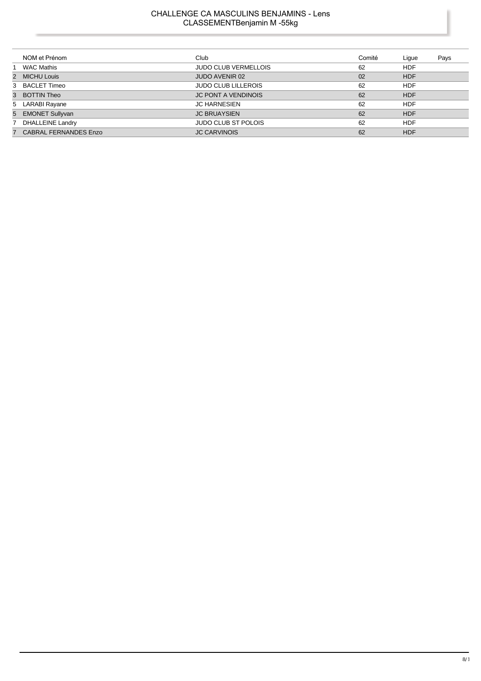# CHALLENGE CA MASCULINS BENJAMINS - Lens CLASSEMENTBenjamin M -55kg

| NOM et Prénom           | Club                        | Comité | Lique      | Pays |
|-------------------------|-----------------------------|--------|------------|------|
| WAC Mathis              | <b>JUDO CLUB VERMELLOIS</b> | 62     | <b>HDF</b> |      |
| 2 MICHU Louis           | JUDO AVENIR 02              | 02     | <b>HDF</b> |      |
| 3 BACLET Timeo          | <b>JUDO CLUB LILLEROIS</b>  | 62     | <b>HDF</b> |      |
| 3 BOTTIN Theo           | <b>JC PONT A VENDINOIS</b>  | 62     | <b>HDF</b> |      |
| 5 LARABI Rayane         | <b>JC HARNESIEN</b>         | 62     | <b>HDF</b> |      |
| 5 EMONET Sullyvan       | <b>JC BRUAYSIEN</b>         | 62     | <b>HDF</b> |      |
| 7 DHALLEINE Landry      | <b>JUDO CLUB ST POLOIS</b>  | 62     | <b>HDF</b> |      |
| 7 CABRAL FERNANDES Enzo | <b>JC CARVINOIS</b>         | 62     | <b>HDF</b> |      |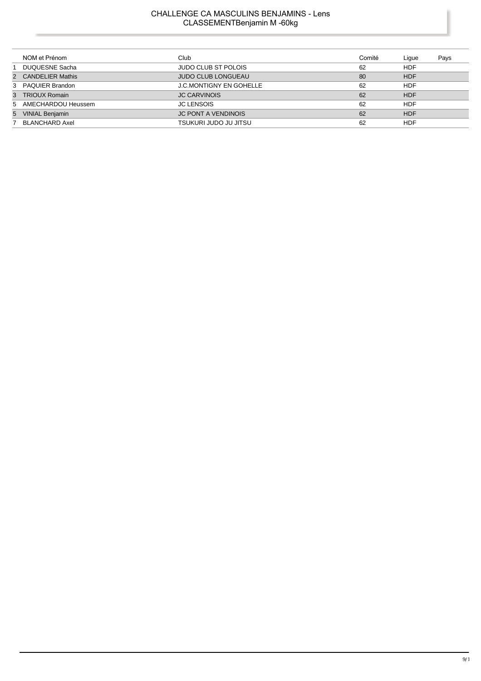### CHALLENGE CA MASCULINS BENJAMINS - Lens CLASSEMENTBenjamin M -60kg

| NOM et Prénom        | Club                           | Comité | Lique      | Pays |
|----------------------|--------------------------------|--------|------------|------|
| DUQUESNE Sacha       | <b>JUDO CLUB ST POLOIS</b>     | 62     | <b>HDF</b> |      |
| 2 CANDELIER Mathis   | <b>JUDO CLUB LONGUEAU</b>      | 80     | <b>HDF</b> |      |
| 3 PAQUIER Brandon    | <b>J.C.MONTIGNY EN GOHELLE</b> | 62     | <b>HDF</b> |      |
| 3 TRIOUX Romain      | <b>JC CARVINOIS</b>            | 62     | <b>HDF</b> |      |
| 5 AMECHARDOU Heussem | <b>JC LENSOIS</b>              | 62     | <b>HDF</b> |      |
| 5 VINIAL Benjamin    | <b>JC PONT A VENDINOIS</b>     | 62     | <b>HDF</b> |      |
| 7 BLANCHARD Axel     | TSUKURI JUDO JU JITSU          | 62     | HDF        |      |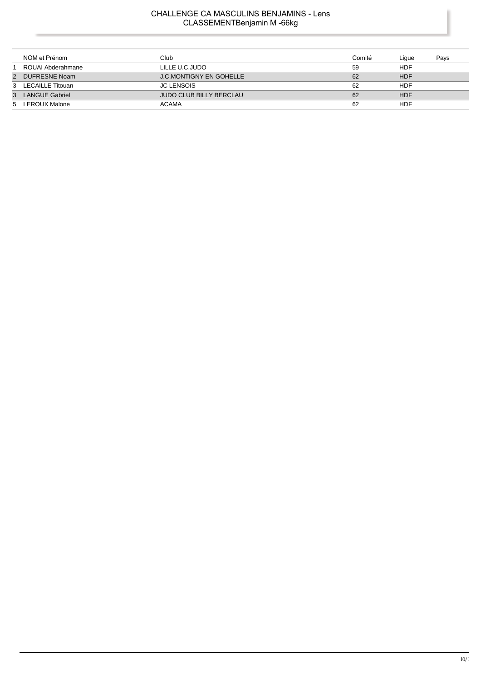# CHALLENGE CA MASCULINS BENJAMINS - Lens CLASSEMENTBenjamin M -66kg

|                | NOM et Prénom      | Club                    | Comité | Lique      | Pays |
|----------------|--------------------|-------------------------|--------|------------|------|
|                | ROUAI Abderahmane  | LILLE U.C.JUDO          | 59     | HDF        |      |
| $\overline{2}$ | DUFRESNE Noam      | J.C.MONTIGNY EN GOHELLE | 62     | <b>HDF</b> |      |
|                | 3 LECAILLE Titouan | <b>JC LENSOIS</b>       | 62     | HDF        |      |
|                | 3 LANGUE Gabriel   | JUDO CLUB BILLY BERCLAU | 62     | <b>HDF</b> |      |
|                | 5 LEROUX Malone    | <b>ACAMA</b>            | 62     | HDF        |      |

l